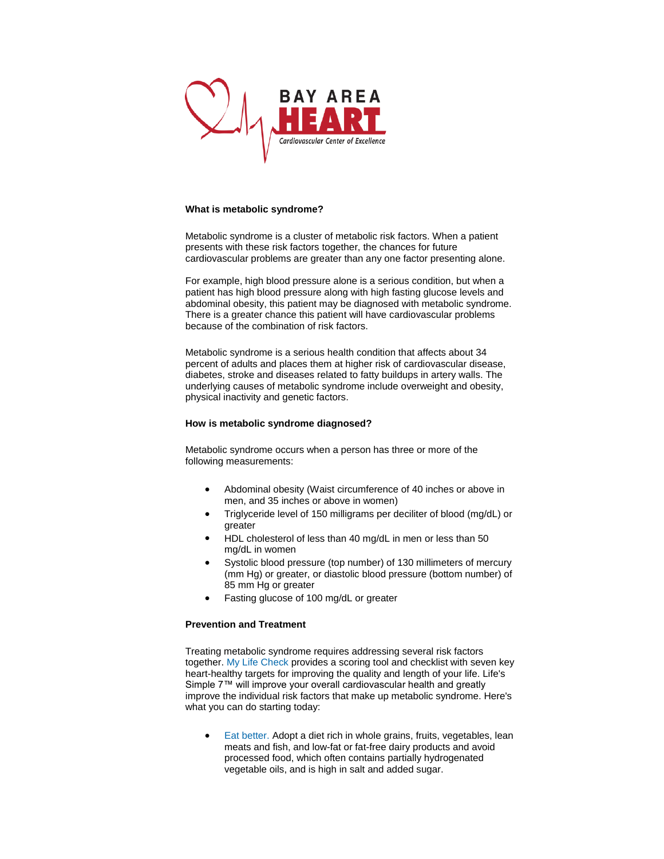

## **What is metabolic syndrome?**

Metabolic syndrome is a cluster of metabolic risk factors. When a patient presents with these risk factors together, the chances for future cardiovascular problems are greater than any one factor presenting alone.

For example, high blood pressure alone is a serious condition, but when a patient has high blood pressure along with high fasting glucose levels and abdominal obesity, this patient may be diagnosed with metabolic syndrome. There is a greater chance this patient will have cardiovascular problems because of the combination of risk factors.

Metabolic syndrome is a serious health condition that affects about 34 percent of adults and places them at higher risk of cardiovascular disease, diabetes, stroke and diseases related to fatty buildups in artery walls. The underlying causes of metabolic syndrome include overweight and obesity, physical inactivity and genetic factors.

## **How is metabolic syndrome diagnosed?**

Metabolic syndrome occurs when a person has three or more of the following measurements:

- Abdominal obesity (Waist circumference of 40 inches or above in men, and 35 inches or above in women)
- Triglyceride level of 150 milligrams per deciliter of blood (mg/dL) or greater
- HDL cholesterol of less than 40 mg/dL in men or less than 50 mg/dL in women
- Systolic blood pressure (top number) of 130 millimeters of mercury (mm Hg) or greater, or diastolic blood pressure (bottom number) of 85 mm Hg or greater
- Fasting glucose of 100 mg/dL or greater

## **Prevention and Treatment**

Treating metabolic syndrome requires addressing several risk factors together. [My Life Check](http://mylifecheck.heart.org/) provides a scoring tool and checklist with seven key heart-healthy targets for improving the quality and length of your life. Life's Simple 7™ will improve your overall cardiovascular health and greatly improve the individual risk factors that make up metabolic syndrome. Here's what you can do starting today:

• [Eat better.](http://www.heart.org/HEARTORG/GettingHealthy/NutritionCenter/Nutrition-Center_UCM_001188_SubHomePage.jsp) Adopt a diet rich in whole grains, fruits, vegetables, lean meats and fish, and low-fat or fat-free dairy products and avoid processed food, which often contains partially hydrogenated vegetable oils, and is high in salt and added sugar.